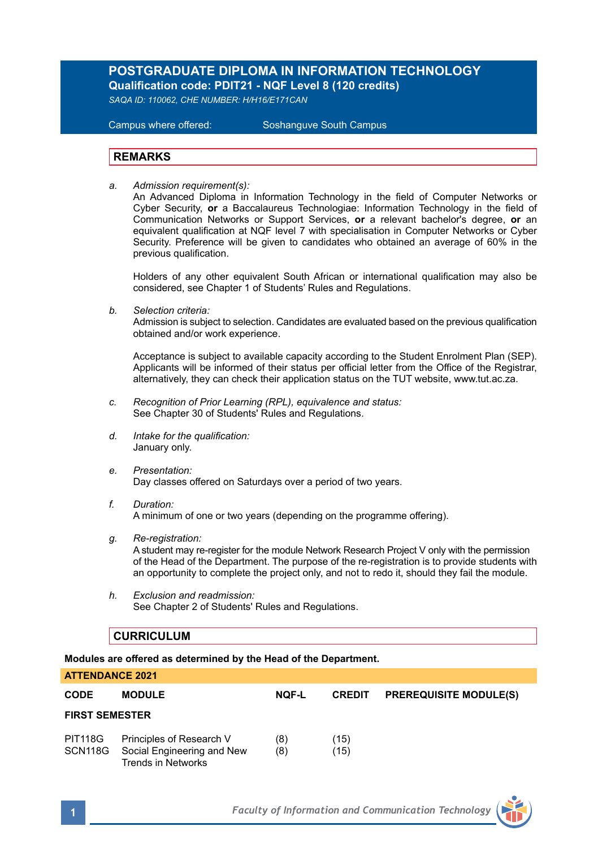# **POSTGRADUATE DIPLOMA IN INFORMATION TECHNOLOGY Qualification code: PDIT21 - NQF Level 8 (120 credits)**

*SAQA ID: 110062, CHE NUMBER: H/H16/E171CAN* 

**Campus where offered:** 

Soshanguve South Campus

### **REMARKS**

*a. Admission requirement(s):* 

An Advanced Diploma in Information Technology in the field of Computer Networks or Cyber Security, **or** a Baccalaureus Technologiae: Information Technology in the field of Communication Networks or Support Services, **or** a relevant bachelor's degree, **or** an equivalent qualification at NQF level 7 with specialisation in Computer Networks or Cyber Security. Preference will be given to candidates who obtained an average of 60% in the previous qualification.

Holders of any other equivalent South African or international qualification may also be considered, see Chapter 1 of Students' Rules and Regulations.

*b. Selection criteria:*

Admission is subject to selection. Candidates are evaluated based on the previous qualification obtained and/or work experience.

Acceptance is subject to available capacity according to the Student Enrolment Plan (SEP). Applicants will be informed of their status per official letter from the Office of the Registrar, alternatively, they can check their application status on the TUT website, www.tut.ac.za.

- *c. Recognition of Prior Learning (RPL), equivalence and status:* See Chapter 30 of Students' Rules and Regulations.
- *d. Intake for the qualification:* January only.
- *e. Presentation:* Day classes offered on Saturdays over a period of two years.
- *f. Duration:* A minimum of one or two years (depending on the programme offering).
- *g. Re-registration:*

A student may re-register for the module Network Research Project V only with the permission of the Head of the Department. The purpose of the re-registration is to provide students with an opportunity to complete the project only, and not to redo it, should they fail the module.

*h. Exclusion and readmission:* See Chapter 2 of Students' Rules and Regulations.

### **CURRICULUM**

**Modules are offered as determined by the Head of the Department.**

| <b>CODE</b>           | <b>MODULE</b>                                                                | <b>NOF-L</b> | <b>CREDIT</b> | <b>PREREQUISITE MODULE(S)</b> |  |  |
|-----------------------|------------------------------------------------------------------------------|--------------|---------------|-------------------------------|--|--|
| <b>FIRST SEMESTER</b> |                                                                              |              |               |                               |  |  |
| PIT118G<br>SCN118G    | Principles of Research V<br>Social Engineering and New<br>Trends in Networks | (8)<br>(8)   | (15)<br>(15)  |                               |  |  |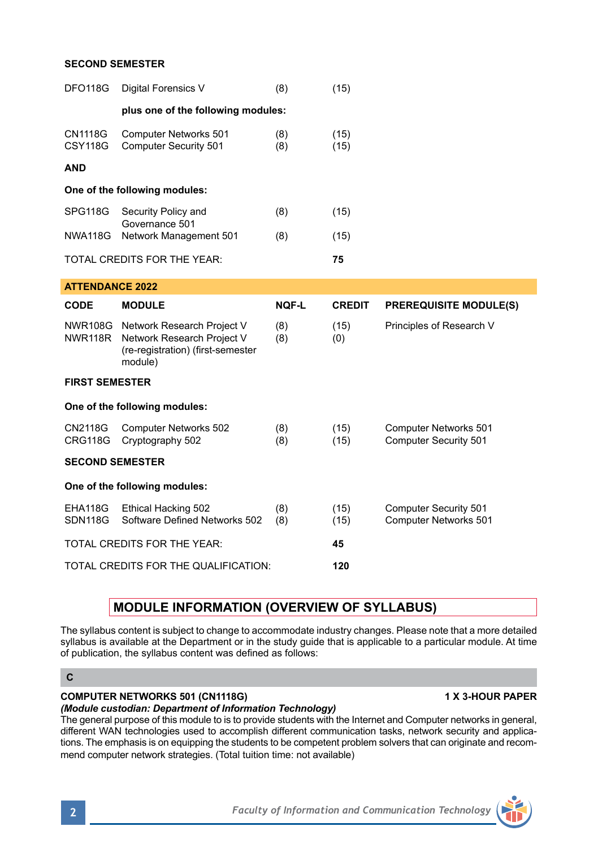### **SECOND SEMESTER**

| <b>DFO118G</b>                    | Digital Forensics V                                                                                              | (8)          | (15)          |                                                       |  |  |  |
|-----------------------------------|------------------------------------------------------------------------------------------------------------------|--------------|---------------|-------------------------------------------------------|--|--|--|
|                                   | plus one of the following modules:                                                                               |              |               |                                                       |  |  |  |
| <b>CN1118G</b><br><b>CSY118G</b>  | <b>Computer Networks 501</b><br><b>Computer Security 501</b>                                                     | (8)<br>(8)   | (15)<br>(15)  |                                                       |  |  |  |
| <b>AND</b>                        |                                                                                                                  |              |               |                                                       |  |  |  |
| One of the following modules:     |                                                                                                                  |              |               |                                                       |  |  |  |
| SPG118G                           | Security Policy and<br>Governance 501                                                                            | (8)          | (15)          |                                                       |  |  |  |
| <b>NWA118G</b>                    | Network Management 501                                                                                           | (8)          | (15)          |                                                       |  |  |  |
|                                   | TOTAL CREDITS FOR THE YEAR:                                                                                      |              | 75            |                                                       |  |  |  |
| <b>ATTENDANCE 2022</b>            |                                                                                                                  |              |               |                                                       |  |  |  |
| CODE                              | <b>MODULE</b>                                                                                                    | <b>NOF-L</b> | <b>CREDIT</b> | <b>PREREQUISITE MODULE(S)</b>                         |  |  |  |
| NWR118R                           | NWR108G Network Research Project V<br>Network Research Project V<br>(re-registration) (first-semester<br>module) | (8)<br>(8)   | (15)<br>(0)   | Principles of Research V                              |  |  |  |
| <b>FIRST SEMESTER</b>             |                                                                                                                  |              |               |                                                       |  |  |  |
| One of the following modules:     |                                                                                                                  |              |               |                                                       |  |  |  |
| CN2118G<br><b>CRG118G</b>         | <b>Computer Networks 502</b><br>Cryptography 502                                                                 | (8)<br>(8)   | (15)<br>(15)  | Computer Networks 501<br><b>Computer Security 501</b> |  |  |  |
| <b>SECOND SEMESTER</b>            |                                                                                                                  |              |               |                                                       |  |  |  |
| One of the following modules:     |                                                                                                                  |              |               |                                                       |  |  |  |
| EHA118G<br><b>SDN118G</b>         | Ethical Hacking 502<br>Software Defined Networks 502                                                             | (8)<br>(8)   | (15)<br>(15)  | <b>Computer Security 501</b><br>Computer Networks 501 |  |  |  |
| TOTAL CREDITS FOR THE YEAR:<br>45 |                                                                                                                  |              |               |                                                       |  |  |  |
|                                   | TOTAL CREDITS FOR THE QUALIFICATION:                                                                             | 120          |               |                                                       |  |  |  |

# **MODULE INFORMATION (OVERVIEW OF SYLLABUS)**

The syllabus content is subject to change to accommodate industry changes. Please note that a more detailed syllabus is available at the Department or in the study guide that is applicable to a particular module. At time of publication, the syllabus content was defined as follows:

## **COMPUTER NETWORKS 501 (CN1118G) 1 X 3-HOUR PAPER**

## *(Module custodian: Department of Information Technology)*

The general purpose of this module to is to provide students with the Internet and Computer networks in general, different WAN technologies used to accomplish different communication tasks, network security and applications. The emphasis is on equipping the students to be competent problem solvers that can originate and recommend computer network strategies. (Total tuition time: not available)



**C**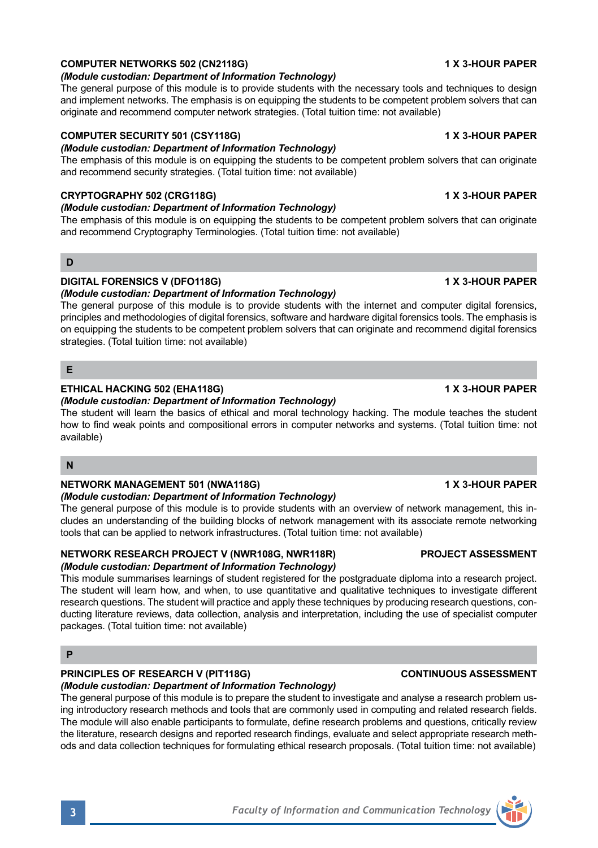## **COMPUTER NETWORKS 502 (CN2118G) 1 X 3-HOUR PAPER**

### *(Module custodian: Department of Information Technology)*

The general purpose of this module is to provide students with the necessary tools and techniques to design and implement networks. The emphasis is on equipping the students to be competent problem solvers that can originate and recommend computer network strategies. (Total tuition time: not available)

## **COMPUTER SECURITY 501 (CSY118G) 1 X 3-HOUR PAPER**

## *(Module custodian: Department of Information Technology)*

The emphasis of this module is on equipping the students to be competent problem solvers that can originate and recommend security strategies. (Total tuition time: not available)

## **CRYPTOGRAPHY 502 (CRG118G) 1 X 3-HOUR PAPER**

## *(Module custodian: Department of Information Technology)*

The emphasis of this module is on equipping the students to be competent problem solvers that can originate and recommend Cryptography Terminologies. (Total tuition time: not available)

### **D**

## **DIGITAL FORENSICS V (DFO118G) 1 X 3-HOUR PAPER**

### *(Module custodian: Department of Information Technology)*

The general purpose of this module is to provide students with the internet and computer digital forensics, principles and methodologies of digital forensics, software and hardware digital forensics tools. The emphasis is on equipping the students to be competent problem solvers that can originate and recommend digital forensics strategies. (Total tuition time: not available)

### **E**

## **ETHICAL HACKING 502 (EHA118G) 1 X 3-HOUR PAPER**

*(Module custodian: Department of Information Technology)* The student will learn the basics of ethical and moral technology hacking. The module teaches the student how to find weak points and compositional errors in computer networks and systems. (Total tuition time: not available)

## **N**

### **NETWORK MANAGEMENT 501 (NWA118G) 1 X 3-HOUR PAPER**

### *(Module custodian: Department of Information Technology)*

The general purpose of this module is to provide students with an overview of network management, this includes an understanding of the building blocks of network management with its associate remote networking tools that can be applied to network infrastructures. (Total tuition time: not available)

## **NETWORK RESEARCH PROJECT V (NWR108G, NWR118R) PROJECT ASSESSMENT**

## *(Module custodian: Department of Information Technology)*

This module summarises learnings of student registered for the postgraduate diploma into a research project. The student will learn how, and when, to use quantitative and qualitative techniques to investigate different research questions. The student will practice and apply these techniques by producing research questions, conducting literature reviews, data collection, analysis and interpretation, including the use of specialist computer packages. (Total tuition time: not available)

#### **P**

# **PRINCIPLES OF RESEARCH V (PIT118G) CONTINUOUS ASSESSMENT**

*(Module custodian: Department of Information Technology)*

The general purpose of this module is to prepare the student to investigate and analyse a research problem using introductory research methods and tools that are commonly used in computing and related research fields. The module will also enable participants to formulate, define research problems and questions, critically review the literature, research designs and reported research findings, evaluate and select appropriate research methods and data collection techniques for formulating ethical research proposals. (Total tuition time: not available)